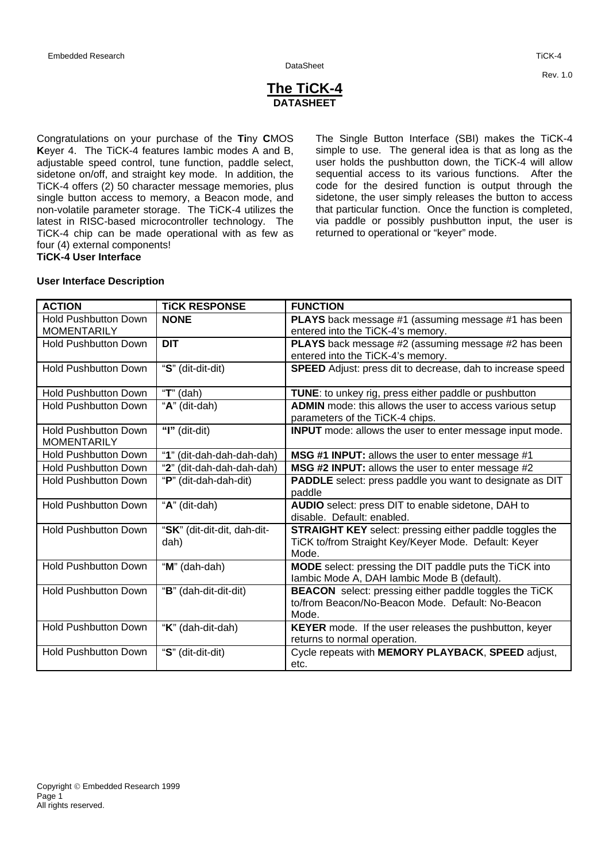# **The TiCK-4 DATASHEET**

Congratulations on your purchase of the **Ti**ny **C**MOS **K**eyer 4. The TiCK-4 features Iambic modes A and B, adjustable speed control, tune function, paddle select, sidetone on/off, and straight key mode. In addition, the TiCK-4 offers (2) 50 character message memories, plus single button access to memory, a Beacon mode, and non-volatile parameter storage. The TiCK-4 utilizes the latest in RISC-based microcontroller technology. The TiCK-4 chip can be made operational with as few as four (4) external components! **TiCK-4 User Interface**

The Single Button Interface (SBI) makes the TiCK-4 simple to use. The general idea is that as long as the user holds the pushbutton down, the TiCK-4 will allow sequential access to its various functions. After the code for the desired function is output through the sidetone, the user simply releases the button to access that particular function. Once the function is completed, via paddle or possibly pushbutton input, the user is returned to operational or "keyer" mode.

# **User Interface Description**

| <b>ACTION</b>                                     | <b>TICK RESPONSE</b>                | <b>FUNCTION</b>                                                                                                                 |
|---------------------------------------------------|-------------------------------------|---------------------------------------------------------------------------------------------------------------------------------|
| <b>Hold Pushbutton Down</b><br><b>MOMENTARILY</b> | <b>NONE</b>                         | PLAYS back message #1 (assuming message #1 has been<br>entered into the TiCK-4's memory.                                        |
| <b>Hold Pushbutton Down</b>                       | <b>DIT</b>                          | PLAYS back message #2 (assuming message #2 has been<br>entered into the TiCK-4's memory.                                        |
| <b>Hold Pushbutton Down</b>                       | "S" (dit-dit-dit)                   | SPEED Adjust: press dit to decrease, dah to increase speed                                                                      |
| <b>Hold Pushbutton Down</b>                       | " $T$ " (dah)                       | <b>TUNE:</b> to unkey rig, press either paddle or pushbutton                                                                    |
| <b>Hold Pushbutton Down</b>                       | "A" (dit-dah)                       | <b>ADMIN</b> mode: this allows the user to access various setup<br>parameters of the TiCK-4 chips.                              |
| <b>Hold Pushbutton Down</b><br><b>MOMENTARILY</b> | "I" (dit-dit)                       | <b>INPUT</b> mode: allows the user to enter message input mode.                                                                 |
| <b>Hold Pushbutton Down</b>                       | "1" (dit-dah-dah-dah-dah)           | MSG #1 INPUT: allows the user to enter message #1                                                                               |
| <b>Hold Pushbutton Down</b>                       | "2" (dit-dah-dah-dah-dah)           | MSG #2 INPUT: allows the user to enter message #2                                                                               |
| <b>Hold Pushbutton Down</b>                       | "P" (dit-dah-dah-dit)               | PADDLE select: press paddle you want to designate as DIT<br>paddle                                                              |
| <b>Hold Pushbutton Down</b>                       | "A" (dit-dah)                       | AUDIO select: press DIT to enable sidetone, DAH to<br>disable. Default: enabled.                                                |
| <b>Hold Pushbutton Down</b>                       | "SK" (dit-dit-dit, dah-dit-<br>dah) | <b>STRAIGHT KEY</b> select: pressing either paddle toggles the<br>TiCK to/from Straight Key/Keyer Mode. Default: Keyer<br>Mode. |
| <b>Hold Pushbutton Down</b>                       | "M" (dah-dah)                       | MODE select: pressing the DIT paddle puts the TiCK into<br>lambic Mode A, DAH lambic Mode B (default).                          |
| <b>Hold Pushbutton Down</b>                       | "B" (dah-dit-dit-dit)               | <b>BEACON</b> select: pressing either paddle toggles the TiCK<br>to/from Beacon/No-Beacon Mode. Default: No-Beacon<br>Mode.     |
| <b>Hold Pushbutton Down</b>                       | "K" (dah-dit-dah)                   | KEYER mode. If the user releases the pushbutton, keyer<br>returns to normal operation.                                          |
| <b>Hold Pushbutton Down</b>                       | "S" (dit-dit-dit)                   | Cycle repeats with MEMORY PLAYBACK, SPEED adjust,<br>etc.                                                                       |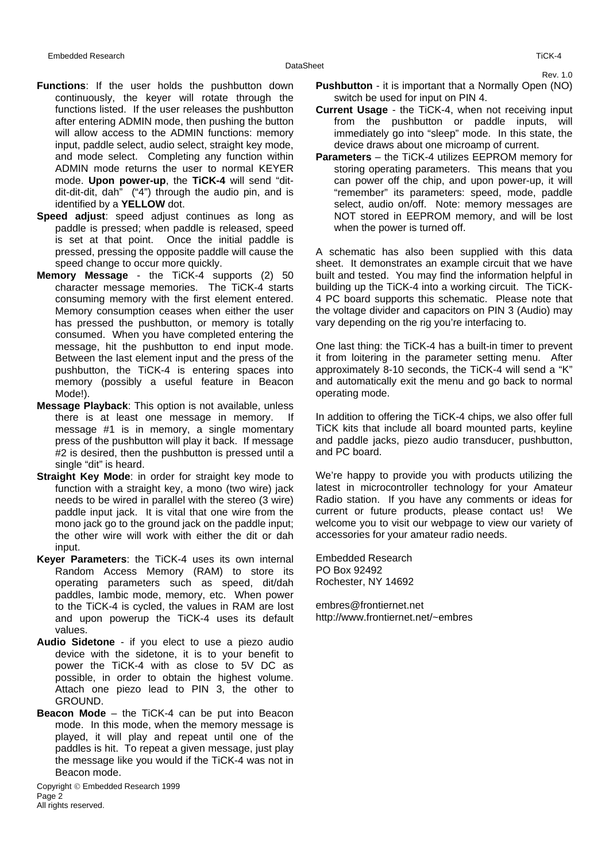Rev. 1.0

- **Functions**: If the user holds the pushbutton down continuously, the keyer will rotate through the functions listed. If the user releases the pushbutton after entering ADMIN mode, then pushing the button will allow access to the ADMIN functions: memory input, paddle select, audio select, straight key mode, and mode select. Completing any function within ADMIN mode returns the user to normal KEYER mode. **Upon power-up**, the **TiCK-4** will send "ditdit-dit-dit, dah" ("4") through the audio pin, and is identified by a **YELLOW** dot.
- **Speed adjust**: speed adjust continues as long as paddle is pressed; when paddle is released, speed is set at that point. Once the initial paddle is pressed, pressing the opposite paddle will cause the speed change to occur more quickly.
- **Memory Message** the TiCK-4 supports (2) 50 character message memories. The TiCK-4 starts consuming memory with the first element entered. Memory consumption ceases when either the user has pressed the pushbutton, or memory is totally consumed. When you have completed entering the message, hit the pushbutton to end input mode. Between the last element input and the press of the pushbutton, the TiCK-4 is entering spaces into memory (possibly a useful feature in Beacon Mode!).
- **Message Playback**: This option is not available, unless there is at least one message in memory. If message #1 is in memory, a single momentary press of the pushbutton will play it back. If message #2 is desired, then the pushbutton is pressed until a single "dit" is heard.
- **Straight Key Mode:** in order for straight key mode to function with a straight key, a mono (two wire) jack needs to be wired in parallel with the stereo (3 wire) paddle input jack. It is vital that one wire from the mono jack go to the ground jack on the paddle input; the other wire will work with either the dit or dah input.
- **Keyer Parameters**: the TiCK-4 uses its own internal Random Access Memory (RAM) to store its operating parameters such as speed, dit/dah paddles, Iambic mode, memory, etc. When power to the TiCK-4 is cycled, the values in RAM are lost and upon powerup the TiCK-4 uses its default values.
- **Audio Sidetone** if you elect to use a piezo audio device with the sidetone, it is to your benefit to power the TiCK-4 with as close to 5V DC as possible, in order to obtain the highest volume. Attach one piezo lead to PIN 3, the other to GROUND.
- **Beacon Mode** the TiCK-4 can be put into Beacon mode. In this mode, when the memory message is played, it will play and repeat until one of the paddles is hit. To repeat a given message, just play the message like you would if the TiCK-4 was not in Beacon mode.

Copyright © Embedded Research 1999 Page 2 All rights reserved.

- **Pushbutton** it is important that a Normally Open (NO) switch be used for input on PIN 4.
- **Current Usage** the TiCK-4, when not receiving input from the pushbutton or paddle inputs, will immediately go into "sleep" mode. In this state, the device draws about one microamp of current.
- **Parameters**  the TiCK-4 utilizes EEPROM memory for storing operating parameters. This means that you can power off the chip, and upon power-up, it will "remember" its parameters: speed, mode, paddle select, audio on/off. Note: memory messages are NOT stored in EEPROM memory, and will be lost when the power is turned off.

A schematic has also been supplied with this data sheet. It demonstrates an example circuit that we have built and tested. You may find the information helpful in building up the TiCK-4 into a working circuit. The TiCK-4 PC board supports this schematic. Please note that the voltage divider and capacitors on PIN 3 (Audio) may vary depending on the rig you're interfacing to.

One last thing: the TiCK-4 has a built-in timer to prevent it from loitering in the parameter setting menu. After approximately 8-10 seconds, the TiCK-4 will send a "K" and automatically exit the menu and go back to normal operating mode.

In addition to offering the TiCK-4 chips, we also offer full TiCK kits that include all board mounted parts, keyline and paddle jacks, piezo audio transducer, pushbutton, and PC board.

We're happy to provide you with products utilizing the latest in microcontroller technology for your Amateur Radio station. If you have any comments or ideas for current or future products, please contact us! We welcome you to visit our webpage to view our variety of accessories for your amateur radio needs.

Embedded Research PO Box 92492 Rochester, NY 14692

embres@frontiernet.net http://www.frontiernet.net/~embres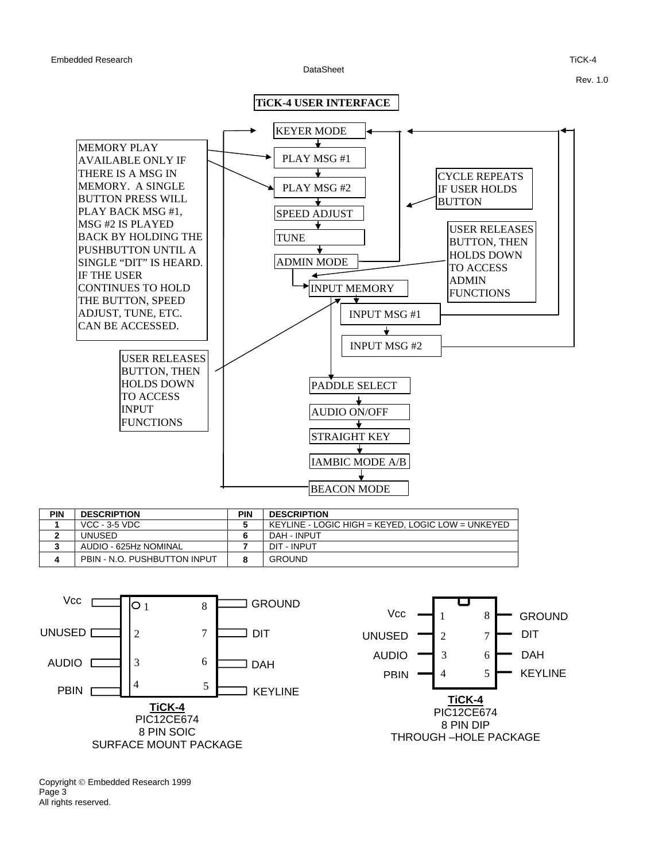DataSheet

Rev. 1.0



| PIN | <b>DESCRIPTION</b>           | PIN | <b>DESCRIPTION</b>                                |
|-----|------------------------------|-----|---------------------------------------------------|
|     | $VCC - 3-5 VDC$              |     | KEYLINE - LOGIC HIGH = KEYED. LOGIC LOW = UNKEYED |
|     | UNUSED                       |     | DAH - INPUT                                       |
|     | AUDIO - 625Hz NOMINAL        |     | DIT - INPUT                                       |
|     | PBIN - N.O. PUSHBUTTON INPUT |     | <b>GROUND</b>                                     |



Copyright © Embedded Research 1999 Page 3 All rights reserved.